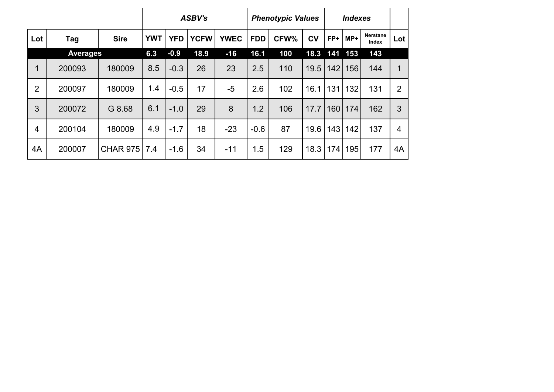|                |                 |              |            |            | <b>ASBV's</b> |             |            | <b>Phenotypic Values</b> |      |     | <b>Indexes</b> |                          |                |
|----------------|-----------------|--------------|------------|------------|---------------|-------------|------------|--------------------------|------|-----|----------------|--------------------------|----------------|
| Lot            | Tag             | <b>Sire</b>  | <b>YWT</b> | <b>YFD</b> | <b>YCFW</b>   | <b>YWEC</b> | <b>FDD</b> | CFW%                     | CV   | FP+ | $MP+$          | <b>Nerstane</b><br>Index | Lot            |
|                | <b>Averages</b> |              | 6.3        | $-0.9$     | 18.9          | $-16$       | 16.1       | 100                      | 18.3 | 141 | 153            | 143                      |                |
| 1              | 200093          | 180009       | 8.5        | $-0.3$     | 26            | 23          | 2.5        | 110                      | 19.5 | 142 | 156            | 144                      | 1              |
| $\overline{2}$ | 200097          | 180009       | 1.4        | $-0.5$     | 17            | $-5$        | 2.6        | 102                      | 16.1 | 131 | 132            | 131                      | $\overline{2}$ |
| 3              | 200072          | G 8.68       | 6.1        | $-1.0$     | 29            | 8           | 1.2        | 106                      | 17.7 | 160 | 174            | 162                      | 3              |
| $\overline{4}$ | 200104          | 180009       | 4.9        | $-1.7$     | 18            | $-23$       | $-0.6$     | 87                       | 19.6 | 143 | 142            | 137                      | $\overline{4}$ |
| 4A             | 200007          | CHAR 975 7.4 |            | $-1.6$     | 34            | $-11$       | 1.5        | 129                      | 18.3 | 174 | 195            | 177                      | 4A             |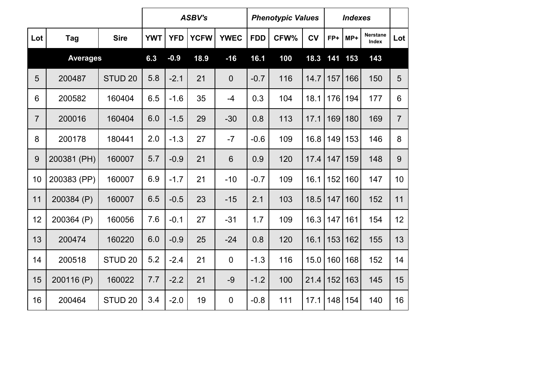|                |                 |                    |            |            | <b>ASBV's</b> |                  |            | <b>Phenotypic Values</b> |           |       | <b>Indexes</b> |                                 |                |
|----------------|-----------------|--------------------|------------|------------|---------------|------------------|------------|--------------------------|-----------|-------|----------------|---------------------------------|----------------|
| Lot            | Tag             | <b>Sire</b>        | <b>YWT</b> | <b>YFD</b> | <b>YCFW</b>   | <b>YWEC</b>      | <b>FDD</b> | CFW%                     | <b>CV</b> | FP+   | MP+            | <b>Nerstane</b><br><b>Index</b> | Lot            |
|                | <b>Averages</b> |                    | 6.3        | $-0.9$     | 18.9          | $-16$            | 16.1       | 100                      | 18.3      | $141$ | 153            | 143                             |                |
| 5              | 200487          | STUD <sub>20</sub> | 5.8        | $-2.1$     | 21            | $\mathbf 0$      | $-0.7$     | 116                      | 14.7      | 157   | 166            | 150                             | 5              |
| 6              | 200582          | 160404             | 6.5        | $-1.6$     | 35            | $-4$             | 0.3        | 104                      | 18.1      | 176   | 194            | 177                             | 6              |
| $\overline{7}$ | 200016          | 160404             | 6.0        | $-1.5$     | 29            | $-30$            | 0.8        | 113                      | 17.1      | 169   | 180            | 169                             | $\overline{7}$ |
| 8              | 200178          | 180441             | 2.0        | $-1.3$     | 27            | $-7$             | $-0.6$     | 109                      | 16.8      | 149   | 153            | 146                             | 8              |
| $\overline{9}$ | 200381 (PH)     | 160007             | 5.7        | $-0.9$     | 21            | 6                | 0.9        | 120                      | 17.4      | 147   | 159            | 148                             | 9              |
| 10             | 200383 (PP)     | 160007             | 6.9        | $-1.7$     | 21            | $-10$            | $-0.7$     | 109                      | 16.1      | 152   | 160            | 147                             | 10             |
| 11             | 200384 (P)      | 160007             | 6.5        | $-0.5$     | 23            | $-15$            | 2.1        | 103                      | 18.5      | 147   | 160            | 152                             | 11             |
| 12             | 200364 (P)      | 160056             | 7.6        | $-0.1$     | 27            | $-31$            | 1.7        | 109                      | 16.3      | 147   | 161            | 154                             | 12             |
| 13             | 200474          | 160220             | 6.0        | $-0.9$     | 25            | $-24$            | 0.8        | 120                      | 16.1      | 153   | 162            | 155                             | 13             |
| 14             | 200518          | STUD <sub>20</sub> | 5.2        | $-2.4$     | 21            | $\overline{0}$   | $-1.3$     | 116                      | 15.0      | 160   | 168            | 152                             | 14             |
| 15             | 200116 (P)      | 160022             | 7.7        | $-2.2$     | 21            | $-9$             | $-1.2$     | 100                      | 21.4      | 152   | 163            | 145                             | 15             |
| 16             | 200464          | STUD <sub>20</sub> | 3.4        | $-2.0$     | 19            | $\boldsymbol{0}$ | $-0.8$     | 111                      | 17.1      | 148   | 154            | 140                             | 16             |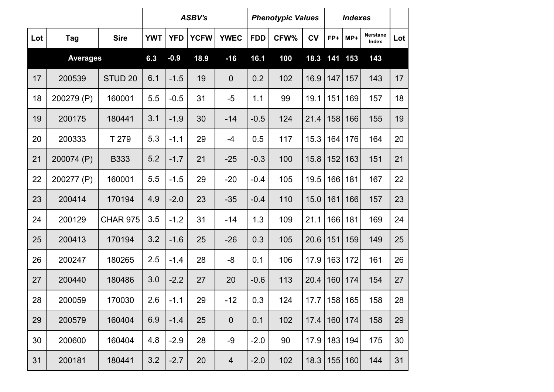|     |                 |                    |            |            | <b>ASBV's</b> |                |            | <b>Phenotypic Values</b> |           |     | <b>Indexes</b> |                          |     |
|-----|-----------------|--------------------|------------|------------|---------------|----------------|------------|--------------------------|-----------|-----|----------------|--------------------------|-----|
| Lot | Tag             | <b>Sire</b>        | <b>YWT</b> | <b>YFD</b> | <b>YCFW</b>   | <b>YWEC</b>    | <b>FDD</b> | CFW%                     | <b>CV</b> | FP+ | $MP+$          | <b>Nerstane</b><br>Index | Lot |
|     | <b>Averages</b> |                    | 6.3        | $-0.9$     | 18.9          | $-16$          | 16.1       | 100                      | 18.3      | 141 | 153            | 143                      |     |
| 17  | 200539          | STUD <sub>20</sub> | 6.1        | $-1.5$     | 19            | $\theta$       | 0.2        | 102                      | 16.9      | 147 | 157            | 143                      | 17  |
| 18  | 200279 (P)      | 160001             | 5.5        | $-0.5$     | 31            | $-5$           | 1.1        | 99                       | 19.1      | 151 | 169            | 157                      | 18  |
| 19  | 200175          | 180441             | 3.1        | $-1.9$     | 30            | $-14$          | $-0.5$     | 124                      | 21.4      | 158 | 166            | 155                      | 19  |
| 20  | 200333          | T 279              | 5.3        | $-1.1$     | 29            | $-4$           | 0.5        | 117                      | 15.3      | 164 | 176            | 164                      | 20  |
| 21  | 200074 (P)      | <b>B333</b>        | 5.2        | $-1.7$     | 21            | $-25$          | $-0.3$     | 100                      | 15.8      | 152 | 163            | 151                      | 21  |
| 22  | 200277 (P)      | 160001             | 5.5        | $-1.5$     | 29            | $-20$          | $-0.4$     | 105                      | 19.5      | 166 | 181            | 167                      | 22  |
| 23  | 200414          | 170194             | 4.9        | $-2.0$     | 23            | $-35$          | $-0.4$     | 110                      | 15.0      | 161 | 166            | 157                      | 23  |
| 24  | 200129          | <b>CHAR 975</b>    | 3.5        | $-1.2$     | 31            | $-14$          | 1.3        | 109                      | 21.1      | 166 | 181            | 169                      | 24  |
| 25  | 200413          | 170194             | 3.2        | $-1.6$     | 25            | $-26$          | 0.3        | 105                      | 20.6      | 151 | 159            | 149                      | 25  |
| 26  | 200247          | 180265             | 2.5        | $-1.4$     | 28            | -8             | 0.1        | 106                      | 17.9      | 163 | 172            | 161                      | 26  |
| 27  | 200440          | 180486             | 3.0        | $-2.2$     | 27            | 20             | $-0.6$     | 113                      | 20.4      | 160 | 174            | 154                      | 27  |
| 28  | 200059          | 170030             | 2.6        | $-1.1$     | 29            | $-12$          | 0.3        | 124                      | 17.7      |     | 158 165        | 158                      | 28  |
| 29  | 200579          | 160404             | 6.9        | $-1.4$     | 25            | $\mathbf 0$    | 0.1        | 102                      | 17.4      | 160 | 174            | 158                      | 29  |
| 30  | 200600          | 160404             | 4.8        | $-2.9$     | 28            | $-9$           | $-2.0$     | 90                       | 17.9      |     | 183 194        | 175                      | 30  |
| 31  | 200181          | 180441             | 3.2        | $-2.7$     | 20            | $\overline{4}$ | $-2.0$     | 102                      | 18.3      | 155 | 160            | 144                      | 31  |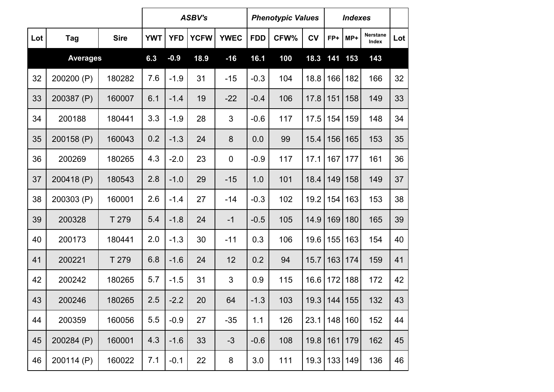|     |                 |             |            |            | <b>ASBV's</b> |             |            | <b>Phenotypic Values</b> |           |     | <b>Indexes</b> |                          |     |
|-----|-----------------|-------------|------------|------------|---------------|-------------|------------|--------------------------|-----------|-----|----------------|--------------------------|-----|
| Lot | Tag             | <b>Sire</b> | <b>YWT</b> | <b>YFD</b> | <b>YCFW</b>   | <b>YWEC</b> | <b>FDD</b> | CFW%                     | <b>CV</b> | FP+ | MP+            | <b>Nerstane</b><br>Index | Lot |
|     | <b>Averages</b> |             | 6.3        | $-0.9$     | 18.9          | $-16$       | 16.1       | 100                      | 18.3      | 141 | 153            | 143                      |     |
| 32  | 200200 (P)      | 180282      | 7.6        | $-1.9$     | 31            | $-15$       | $-0.3$     | 104                      | 18.8      | 166 | 182            | 166                      | 32  |
| 33  | 200387 (P)      | 160007      | 6.1        | $-1.4$     | 19            | $-22$       | $-0.4$     | 106                      | 17.8      | 151 | 158            | 149                      | 33  |
| 34  | 200188          | 180441      | 3.3        | $-1.9$     | 28            | 3           | $-0.6$     | 117                      | 17.5      | 154 | 159            | 148                      | 34  |
| 35  | 200158 (P)      | 160043      | 0.2        | $-1.3$     | 24            | 8           | 0.0        | 99                       | 15.4      | 156 | 165            | 153                      | 35  |
| 36  | 200269          | 180265      | 4.3        | $-2.0$     | 23            | $\mathbf 0$ | $-0.9$     | 117                      | 17.1      | 167 | 177            | 161                      | 36  |
| 37  | 200418 (P)      | 180543      | 2.8        | $-1.0$     | 29            | $-15$       | 1.0        | 101                      | 18.4      | 149 | 158            | 149                      | 37  |
| 38  | 200303 (P)      | 160001      | 2.6        | $-1.4$     | 27            | $-14$       | $-0.3$     | 102                      | 19.2      | 154 | 163            | 153                      | 38  |
| 39  | 200328          | T 279       | 5.4        | $-1.8$     | 24            | $-1$        | $-0.5$     | 105                      | 14.9      | 169 | 180            | 165                      | 39  |
| 40  | 200173          | 180441      | 2.0        | $-1.3$     | 30            | $-11$       | 0.3        | 106                      | 19.6      | 155 | 163            | 154                      | 40  |
| 41  | 200221          | T 279       | 6.8        | $-1.6$     | 24            | 12          | 0.2        | 94                       | 15.7      | 163 | 174            | 159                      | 41  |
| 42  | 200242          | 180265      | 5.7        | $-1.5$     | 31            | 3           | 0.9        | 115                      | 16.6      | 172 | 188            | 172                      | 42  |
| 43  | 200246          | 180265      | 2.5        | $-2.2$     | 20            | 64          | $-1.3$     | 103                      | 19.3      |     | 144 155        | 132                      | 43  |
| 44  | 200359          | 160056      | 5.5        | $-0.9$     | 27            | $-35$       | 1.1        | 126                      | 23.1      |     | 148 160        | 152                      | 44  |
| 45  | 200284 (P)      | 160001      | 4.3        | $-1.6$     | 33            | $-3$        | $-0.6$     | 108                      | 19.8      | 161 | 179            | 162                      | 45  |
| 46  | 200114 (P)      | 160022      | 7.1        | $-0.1$     | 22            | 8           | 3.0        | 111                      | 19.3      |     | 133 149        | 136                      | 46  |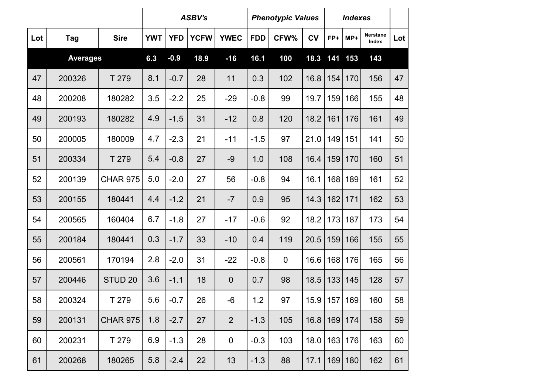|     |                 |                    |            |            | <b>ASBV's</b> |                  |            | <b>Phenotypic Values</b> |           |     | <b>Indexes</b> |                   |     |
|-----|-----------------|--------------------|------------|------------|---------------|------------------|------------|--------------------------|-----------|-----|----------------|-------------------|-----|
| Lot | <b>Tag</b>      | <b>Sire</b>        | <b>YWT</b> | <b>YFD</b> | <b>YCFW</b>   | <b>YWEC</b>      | <b>FDD</b> | CFW%                     | <b>CV</b> | FP+ | $MP+$          | Nerstane<br>Index | Lot |
|     | <b>Averages</b> |                    | 6.3        | $-0.9$     | 18.9          | $-16$            | 16.1       | 100                      | 18.3      | 141 | 153            | 143               |     |
| 47  | 200326          | T 279              | 8.1        | $-0.7$     | 28            | 11               | 0.3        | 102                      | 16.8      | 154 | 170            | 156               | 47  |
| 48  | 200208          | 180282             | 3.5        | $-2.2$     | 25            | $-29$            | $-0.8$     | 99                       | 19.7      | 159 | 166            | 155               | 48  |
| 49  | 200193          | 180282             | 4.9        | $-1.5$     | 31            | $-12$            | 0.8        | 120                      | 18.2      | 161 | 176            | 161               | 49  |
| 50  | 200005          | 180009             | 4.7        | $-2.3$     | 21            | $-11$            | $-1.5$     | 97                       | 21.0      | 149 | 151            | 141               | 50  |
| 51  | 200334          | T 279              | 5.4        | $-0.8$     | 27            | $-9$             | 1.0        | 108                      | 16.4      | 159 | 170            | 160               | 51  |
| 52  | 200139          | <b>CHAR 975</b>    | 5.0        | $-2.0$     | 27            | 56               | $-0.8$     | 94                       | 16.1      | 168 | 189            | 161               | 52  |
| 53  | 200155          | 180441             | 4.4        | $-1.2$     | 21            | $-7$             | 0.9        | 95                       | 14.3      | 162 | 171            | 162               | 53  |
| 54  | 200565          | 160404             | 6.7        | $-1.8$     | 27            | $-17$            | $-0.6$     | 92                       | 18.2      | 173 | 187            | 173               | 54  |
| 55  | 200184          | 180441             | 0.3        | $-1.7$     | 33            | $-10$            | 0.4        | 119                      | 20.5      | 159 | 166            | 155               | 55  |
| 56  | 200561          | 170194             | 2.8        | $-2.0$     | 31            | $-22$            | $-0.8$     | $\mathbf 0$              | 16.6      | 168 | 176            | 165               | 56  |
| 57  | 200446          | STUD <sub>20</sub> | 3.6        | $-1.1$     | 18            | $\boldsymbol{0}$ | 0.7        | 98                       | 18.5      | 133 | 145            | 128               | 57  |
| 58  | 200324          | T 279              | 5.6        | $-0.7$     | 26            | $-6$             | 1.2        | 97                       | 15.9      |     | 157 169        | 160               | 58  |
| 59  | 200131          | <b>CHAR 975</b>    | 1.8        | $-2.7$     | 27            | $\overline{2}$   | $-1.3$     | 105                      | 16.8      | 169 | 174            | 158               | 59  |
| 60  | 200231          | T 279              | 6.9        | $-1.3$     | 28            | $\mathbf 0$      | $-0.3$     | 103                      | 18.0      | 163 | 176            | 163               | 60  |
| 61  | 200268          | 180265             | 5.8        | $-2.4$     | 22            | 13               | $-1.3$     | 88                       | 17.1      | 169 | 180            | 162               | 61  |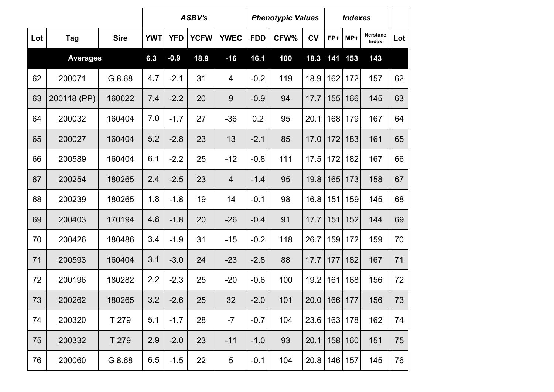|     |                 |             |            |            | <b>ASBV's</b> |                  |            | <b>Phenotypic Values</b> |           |     | <b>Indexes</b> |                          |     |
|-----|-----------------|-------------|------------|------------|---------------|------------------|------------|--------------------------|-----------|-----|----------------|--------------------------|-----|
| Lot | Tag             | <b>Sire</b> | <b>YWT</b> | <b>YFD</b> | <b>YCFW</b>   | <b>YWEC</b>      | <b>FDD</b> | CFW%                     | <b>CV</b> | FP+ | $MP+$          | <b>Nerstane</b><br>Index | Lot |
|     | <b>Averages</b> |             | 6.3        | $-0.9$     | 18.9          | $-16$            | 16.1       | 100                      | 18.3      | 141 | 153            | 143                      |     |
| 62  | 200071          | G 8.68      | 4.7        | $-2.1$     | 31            | 4                | $-0.2$     | 119                      | 18.9      | 162 | 172            | 157                      | 62  |
| 63  | 200118 (PP)     | 160022      | 7.4        | $-2.2$     | 20            | $\boldsymbol{9}$ | $-0.9$     | 94                       | 17.7      | 155 | 166            | 145                      | 63  |
| 64  | 200032          | 160404      | 7.0        | $-1.7$     | 27            | $-36$            | 0.2        | 95                       | 20.1      | 168 | 179            | 167                      | 64  |
| 65  | 200027          | 160404      | 5.2        | $-2.8$     | 23            | 13               | $-2.1$     | 85                       | 17.0      | 172 | 183            | 161                      | 65  |
| 66  | 200589          | 160404      | 6.1        | $-2.2$     | 25            | $-12$            | $-0.8$     | 111                      | 17.5      | 172 | 182            | 167                      | 66  |
| 67  | 200254          | 180265      | 2.4        | $-2.5$     | 23            | $\overline{4}$   | $-1.4$     | 95                       | 19.8      | 165 | 173            | 158                      | 67  |
| 68  | 200239          | 180265      | 1.8        | $-1.8$     | 19            | 14               | $-0.1$     | 98                       | 16.8      | 151 | 159            | 145                      | 68  |
| 69  | 200403          | 170194      | 4.8        | $-1.8$     | 20            | $-26$            | $-0.4$     | 91                       | 17.7      | 151 | 152            | 144                      | 69  |
| 70  | 200426          | 180486      | 3.4        | $-1.9$     | 31            | $-15$            | $-0.2$     | 118                      | 26.7      | 159 | 172            | 159                      | 70  |
| 71  | 200593          | 160404      | 3.1        | $-3.0$     | 24            | $-23$            | $-2.8$     | 88                       | 17.7      | 177 | 182            | 167                      | 71  |
| 72  | 200196          | 180282      | 2.2        | $-2.3$     | 25            | $-20$            | $-0.6$     | 100                      | 19.2      | 161 | 168            | 156                      | 72  |
| 73  | 200262          | 180265      | 3.2        | $-2.6$     | 25            | 32               | $-2.0$     | 101                      | 20.0      |     | 166 177        | 156                      | 73  |
| 74  | 200320          | T 279       | 5.1        | $-1.7$     | 28            | $-7$             | $-0.7$     | 104                      | 23.6      |     | 163 178        | 162                      | 74  |
| 75  | 200332          | T 279       | 2.9        | $-2.0$     | 23            | $-11$            | $-1.0$     | 93                       | 20.1      |     | 158 160        | 151                      | 75  |
| 76  | 200060          | G 8.68      | 6.5        | $-1.5$     | 22            | 5                | $-0.1$     | 104                      | 20.8      |     | 146 157        | 145                      | 76  |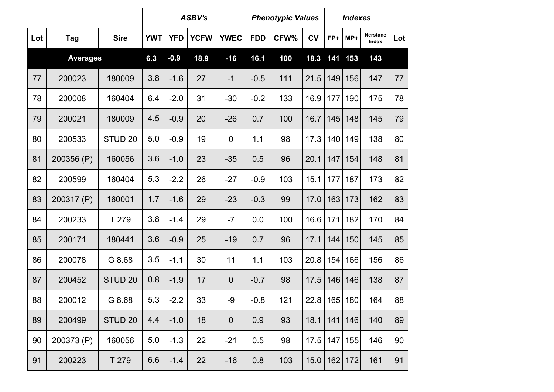|     |                 |                    |            |            | <b>ASBV's</b> |             |            | <b>Phenotypic Values</b> |           |     | <b>Indexes</b> |                   |     |
|-----|-----------------|--------------------|------------|------------|---------------|-------------|------------|--------------------------|-----------|-----|----------------|-------------------|-----|
| Lot | <b>Tag</b>      | <b>Sire</b>        | <b>YWT</b> | <b>YFD</b> | <b>YCFW</b>   | <b>YWEC</b> | <b>FDD</b> | CFW%                     | <b>CV</b> | FP+ | MP+            | Nerstane<br>Index | Lot |
|     | <b>Averages</b> |                    | 6.3        | $-0.9$     | 18.9          | $-16$       | 16.1       | 100                      | 18.3      | 141 | 153            | 143               |     |
| 77  | 200023          | 180009             | 3.8        | $-1.6$     | 27            | $-1$        | $-0.5$     | 111                      | 21.5      | 149 | 156            | 147               | 77  |
| 78  | 200008          | 160404             | 6.4        | $-2.0$     | 31            | $-30$       | $-0.2$     | 133                      | 16.9      | 177 | 190            | 175               | 78  |
| 79  | 200021          | 180009             | 4.5        | $-0.9$     | 20            | $-26$       | 0.7        | 100                      | 16.7      | 145 | 148            | 145               | 79  |
| 80  | 200533          | STUD <sub>20</sub> | 5.0        | $-0.9$     | 19            | $\pmb{0}$   | 1.1        | 98                       | 17.3      | 140 | 149            | 138               | 80  |
| 81  | 200356 (P)      | 160056             | 3.6        | $-1.0$     | 23            | $-35$       | 0.5        | 96                       | 20.1      | 147 | 154            | 148               | 81  |
| 82  | 200599          | 160404             | 5.3        | $-2.2$     | 26            | $-27$       | $-0.9$     | 103                      | 15.1      | 177 | 187            | 173               | 82  |
| 83  | 200317 (P)      | 160001             | 1.7        | $-1.6$     | 29            | $-23$       | $-0.3$     | 99                       | 17.0      | 163 | 173            | 162               | 83  |
| 84  | 200233          | T 279              | 3.8        | $-1.4$     | 29            | $-7$        | 0.0        | 100                      | 16.6      | 171 | 182            | 170               | 84  |
| 85  | 200171          | 180441             | 3.6        | $-0.9$     | 25            | $-19$       | 0.7        | 96                       | 17.1      | 144 | 150            | 145               | 85  |
| 86  | 200078          | G 8.68             | 3.5        | $-1.1$     | 30            | 11          | 1.1        | 103                      | 20.8      | 154 | 166            | 156               | 86  |
| 87  | 200452          | STUD <sub>20</sub> | 0.8        | $-1.9$     | 17            | $\pmb{0}$   | $-0.7$     | 98                       | 17.5      | 146 | 146            | 138               | 87  |
| 88  | 200012          | G 8.68             | 5.3        | $-2.2$     | 33            | $-9$        | $-0.8$     | 121                      | 22.8      |     | 165 180        | 164               | 88  |
| 89  | 200499          | STUD <sub>20</sub> | 4.4        | $-1.0$     | 18            | $\mathbf 0$ | 0.9        | 93                       | 18.1      | 141 | 146            | 140               | 89  |
| 90  | 200373 (P)      | 160056             | 5.0        | $-1.3$     | 22            | $-21$       | 0.5        | 98                       | 17.5      |     | 147 155        | 146               | 90  |
| 91  | 200223          | T 279              | 6.6        | $-1.4$     | 22            | $-16$       | 0.8        | 103                      | 15.0      |     | $162$ 172      | 161               | 91  |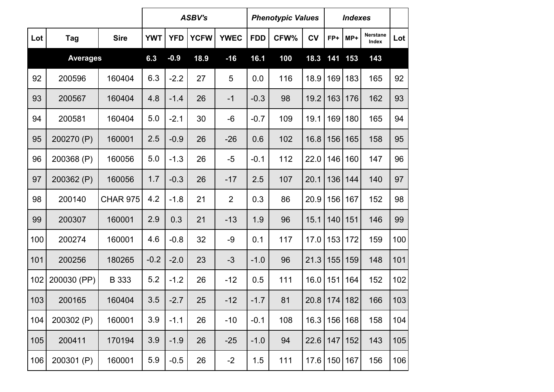|     |                 |                 |            |            | <b>ASBV's</b> |                |            | <b>Phenotypic Values</b> |           |     | <b>Indexes</b> |                          |     |
|-----|-----------------|-----------------|------------|------------|---------------|----------------|------------|--------------------------|-----------|-----|----------------|--------------------------|-----|
| Lot | Tag             | <b>Sire</b>     | <b>YWT</b> | <b>YFD</b> | <b>YCFW</b>   | <b>YWEC</b>    | <b>FDD</b> | CFW%                     | <b>CV</b> | FP+ | MP+            | <b>Nerstane</b><br>Index | Lot |
|     | <b>Averages</b> |                 | 6.3        | $-0.9$     | 18.9          | $-16$          | 16.1       | 100                      | 18.3      | 141 | 153            | 143                      |     |
| 92  | 200596          | 160404          | 6.3        | $-2.2$     | 27            | 5              | 0.0        | 116                      | 18.9      | 169 | 183            | 165                      | 92  |
| 93  | 200567          | 160404          | 4.8        | $-1.4$     | 26            | $-1$           | $-0.3$     | 98                       | 19.2      | 163 | 176            | 162                      | 93  |
| 94  | 200581          | 160404          | 5.0        | $-2.1$     | 30            | $-6$           | $-0.7$     | 109                      | 19.1      | 169 | 180            | 165                      | 94  |
| 95  | 200270 (P)      | 160001          | 2.5        | $-0.9$     | 26            | $-26$          | 0.6        | 102                      | 16.8      | 156 | 165            | 158                      | 95  |
| 96  | 200368 (P)      | 160056          | 5.0        | $-1.3$     | 26            | $-5$           | $-0.1$     | 112                      | 22.0      | 146 | 160            | 147                      | 96  |
| 97  | 200362 (P)      | 160056          | 1.7        | $-0.3$     | 26            | $-17$          | 2.5        | 107                      | 20.1      | 136 | 144            | 140                      | 97  |
| 98  | 200140          | <b>CHAR 975</b> | 4.2        | $-1.8$     | 21            | $\overline{2}$ | 0.3        | 86                       | 20.9      | 156 | 167            | 152                      | 98  |
| 99  | 200307          | 160001          | 2.9        | 0.3        | 21            | $-13$          | 1.9        | 96                       | 15.1      | 140 | 151            | 146                      | 99  |
| 100 | 200274          | 160001          | 4.6        | $-0.8$     | 32            | $-9$           | 0.1        | 117                      | 17.0      | 153 | 172            | 159                      | 100 |
| 101 | 200256          | 180265          | $-0.2$     | $-2.0$     | 23            | $-3$           | $-1.0$     | 96                       | 21.3      | 155 | 159            | 148                      | 101 |
| 102 | 200030 (PP)     | B 333           | 5.2        | $-1.2$     | 26            | $-12$          | 0.5        | 111                      | 16.0      | 151 | 164            | 152                      | 102 |
| 103 | 200165          | 160404          | 3.5        | $-2.7$     | 25            | $-12$          | $-1.7$     | 81                       | 20.8      |     | 174 182        | 166                      | 103 |
| 104 | 200302 (P)      | 160001          | 3.9        | $-1.1$     | 26            | $-10$          | $-0.1$     | 108                      | 16.3      |     | 156 168        | 158                      | 104 |
| 105 | 200411          | 170194          | 3.9        | $-1.9$     | 26            | $-25$          | $-1.0$     | 94                       | 22.6      | 147 | 152            | 143                      | 105 |
| 106 | 200301 (P)      | 160001          | 5.9        | $-0.5$     | 26            | $-2$           | 1.5        | 111                      | 17.6      |     | 150 167        | 156                      | 106 |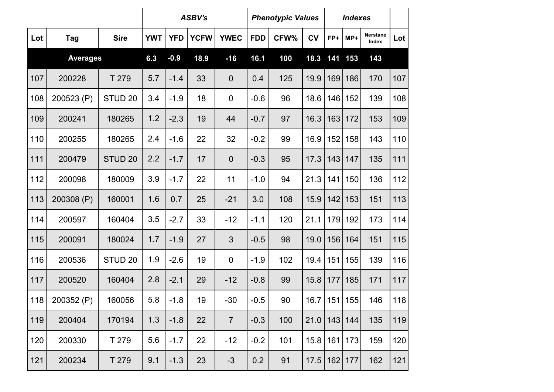|     |                 |                    |            |            | <b>ASBV's</b> |                  |            | <b>Phenotypic Values</b> |                  |     | <b>Indexes</b> |                          |     |
|-----|-----------------|--------------------|------------|------------|---------------|------------------|------------|--------------------------|------------------|-----|----------------|--------------------------|-----|
| Lot | Tag             | <b>Sire</b>        | <b>YWT</b> | <b>YFD</b> | <b>YCFW</b>   | <b>YWEC</b>      | <b>FDD</b> | CFW%                     | <b>CV</b>        | FP+ | $MP+$          | <b>Nerstane</b><br>Index | Lot |
|     | <b>Averages</b> |                    | 6.3        | $-0.9$     | 18.9          | $-16$            | 16.1       | 100                      | 18.3             | 141 | 153            | 143                      |     |
| 107 | 200228          | T 279              | 5.7        | $-1.4$     | 33            | $\mathbf 0$      | 0.4        | 125                      | 19.9             | 169 | 186            | 170                      | 107 |
| 108 | 200523 (P)      | STUD <sub>20</sub> | 3.4        | $-1.9$     | 18            | $\mathbf 0$      | $-0.6$     | 96                       | 18.6             | 146 | 152            | 139                      | 108 |
| 109 | 200241          | 180265             | 1.2        | $-2.3$     | 19            | 44               | $-0.7$     | 97                       | 16.3             | 163 | 172            | 153                      | 109 |
| 110 | 200255          | 180265             | 2.4        | $-1.6$     | 22            | 32               | $-0.2$     | 99                       | 16.9             | 152 | 158            | 143                      | 110 |
| 111 | 200479          | STUD <sub>20</sub> | 2.2        | $-1.7$     | 17            | $\mathbf 0$      | $-0.3$     | 95                       | 17.3             | 143 | 147            | 135                      | 111 |
| 112 | 200098          | 180009             | 3.9        | $-1.7$     | 22            | 11               | $-1.0$     | 94                       | 21.3             | 141 | 150            | 136                      | 112 |
| 113 | 200308 (P)      | 160001             | 1.6        | 0.7        | 25            | $-21$            | 3.0        | 108                      | 15.9             | 142 | 153            | 151                      | 113 |
| 114 | 200597          | 160404             | 3.5        | $-2.7$     | 33            | $-12$            | $-1.1$     | 120                      | 21.1             | 179 | 192            | 173                      | 114 |
| 115 | 200091          | 180024             | 1.7        | $-1.9$     | 27            | 3                | $-0.5$     | 98                       | 19.0             | 156 | 164            | 151                      | 115 |
| 116 | 200536          | STUD <sub>20</sub> | 1.9        | $-2.6$     | 19            | $\boldsymbol{0}$ | $-1.9$     | 102                      | 19.4             | 151 | 155            | 139                      | 116 |
| 117 | 200520          | 160404             | 2.8        | $-2.1$     | 29            | $-12$            | $-0.8$     | 99                       | 15.8             | 177 | 185            | 171                      | 117 |
| 118 | 200352 (P)      | 160056             | 5.8        | $-1.8$     | 19            | $-30$            | $-0.5$     | 90                       | 16.7             | 151 | 155            | 146                      | 118 |
| 119 | 200404          | 170194             | 1.3        | $-1.8$     | 22            | $\overline{7}$   | $-0.3$     | 100                      | $21.0$   143     |     | 144            | 135                      | 119 |
| 120 | 200330          | T 279              | 5.6        | $-1.7$     | 22            | $-12$            | $-0.2$     | 101                      | 15.8   161   173 |     |                | 159                      | 120 |
| 121 | 200234          | T 279              | 9.1        | $-1.3$     | 23            | $-3$             | 0.2        | 91                       | 17.5             |     | 162   177      | 162                      | 121 |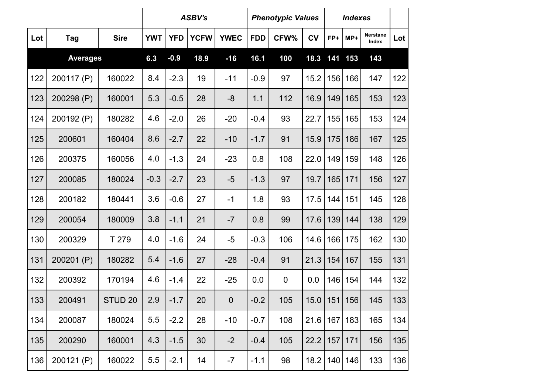|     |                 |                    |            |            | <b>ASBV's</b> |                |            | <b>Phenotypic Values</b> |           |     | <b>Indexes</b> |                          |     |
|-----|-----------------|--------------------|------------|------------|---------------|----------------|------------|--------------------------|-----------|-----|----------------|--------------------------|-----|
| Lot | Tag             | <b>Sire</b>        | <b>YWT</b> | <b>YFD</b> | <b>YCFW</b>   | <b>YWEC</b>    | <b>FDD</b> | CFW%                     | <b>CV</b> | FP+ | MP+            | <b>Nerstane</b><br>Index | Lot |
|     | <b>Averages</b> |                    | 6.3        | $-0.9$     | 18.9          | $-16$          | 16.1       | 100                      | 18.3      | 141 | 153            | 143                      |     |
| 122 | 200117 (P)      | 160022             | 8.4        | $-2.3$     | 19            | $-11$          | $-0.9$     | 97                       | 15.2      | 156 | 166            | 147                      | 122 |
| 123 | 200298 (P)      | 160001             | 5.3        | $-0.5$     | 28            | $-8$           | 1.1        | 112                      | 16.9      | 149 | 165            | 153                      | 123 |
| 124 | 200192 (P)      | 180282             | 4.6        | $-2.0$     | 26            | $-20$          | $-0.4$     | 93                       | 22.7      | 155 | 165            | 153                      | 124 |
| 125 | 200601          | 160404             | 8.6        | $-2.7$     | 22            | $-10$          | $-1.7$     | 91                       | 15.9      | 175 | 186            | 167                      | 125 |
| 126 | 200375          | 160056             | 4.0        | $-1.3$     | 24            | $-23$          | 0.8        | 108                      | 22.0      | 149 | 159            | 148                      | 126 |
| 127 | 200085          | 180024             | $-0.3$     | $-2.7$     | 23            | $-5$           | $-1.3$     | 97                       | 19.7      | 165 | 171            | 156                      | 127 |
| 128 | 200182          | 180441             | 3.6        | $-0.6$     | 27            | $-1$           | 1.8        | 93                       | 17.5      | 144 | 151            | 145                      | 128 |
| 129 | 200054          | 180009             | 3.8        | $-1.1$     | 21            | $-7$           | 0.8        | 99                       | 17.6      | 139 | 144            | 138                      | 129 |
| 130 | 200329          | T 279              | 4.0        | $-1.6$     | 24            | $-5$           | $-0.3$     | 106                      | 14.6      | 166 | 175            | 162                      | 130 |
| 131 | 200201 (P)      | 180282             | 5.4        | $-1.6$     | 27            | $-28$          | $-0.4$     | 91                       | 21.3      | 154 | 167            | 155                      | 131 |
| 132 | 200392          | 170194             | 4.6        | $-1.4$     | 22            | $-25$          | 0.0        | $\mathbf 0$              | 0.0       | 146 | 154            | 144                      | 132 |
| 133 | 200491          | STUD <sub>20</sub> | 2.9        | $-1.7$     | 20            | $\overline{0}$ | $-0.2$     | 105                      | 15.0      | 151 | 156            | 145                      | 133 |
| 134 | 200087          | 180024             | 5.5        | $-2.2$     | 28            | $-10$          | $-0.7$     | 108                      | 21.6      | 167 | 183            | 165                      | 134 |
| 135 | 200290          | 160001             | 4.3        | $-1.5$     | 30            | $-2$           | $-0.4$     | 105                      | 22.2      |     | $157$   171    | 156                      | 135 |
| 136 | 200121 (P)      | 160022             | 5.5        | $-2.1$     | 14            | $-7$           | $-1.1$     | 98                       | 18.2      |     | 140   146      | 133                      | 136 |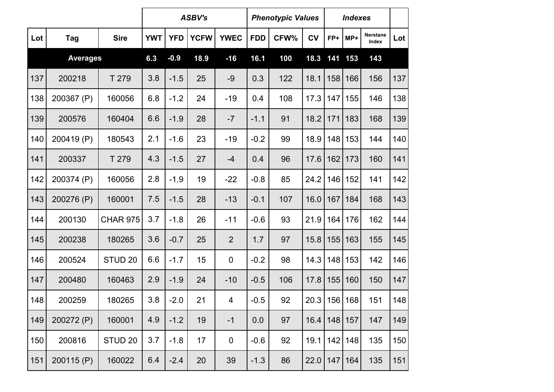|     |                 |                    |            |            | <b>ASBV's</b> |                |            | <b>Phenotypic Values</b> |           |     | <b>Indexes</b> |                   |     |
|-----|-----------------|--------------------|------------|------------|---------------|----------------|------------|--------------------------|-----------|-----|----------------|-------------------|-----|
| Lot | <b>Tag</b>      | <b>Sire</b>        | <b>YWT</b> | <b>YFD</b> | <b>YCFW</b>   | <b>YWEC</b>    | <b>FDD</b> | CFW%                     | <b>CV</b> | FP+ | $MP+$          | Nerstane<br>Index | Lot |
|     | <b>Averages</b> |                    | 6.3        | $-0.9$     | 18.9          | $-16$          | 16.1       | 100                      | 18.3      | 141 | 153            | 143               |     |
| 137 | 200218          | T 279              | 3.8        | $-1.5$     | 25            | $-9$           | 0.3        | 122                      | 18.1      | 158 | 166            | 156               | 137 |
| 138 | 200367 (P)      | 160056             | 6.8        | $-1.2$     | 24            | $-19$          | 0.4        | 108                      | 17.3      | 147 | 155            | 146               | 138 |
| 139 | 200576          | 160404             | 6.6        | $-1.9$     | 28            | $-7$           | $-1.1$     | 91                       | 18.2      | 171 | 183            | 168               | 139 |
| 140 | 200419 (P)      | 180543             | 2.1        | $-1.6$     | 23            | $-19$          | $-0.2$     | 99                       | 18.9      | 148 | 153            | 144               | 140 |
| 141 | 200337          | T 279              | 4.3        | $-1.5$     | 27            | $-4$           | 0.4        | 96                       | 17.6      | 162 | 173            | 160               | 141 |
| 142 | 200374 (P)      | 160056             | 2.8        | $-1.9$     | 19            | $-22$          | $-0.8$     | 85                       | 24.2      | 146 | 152            | 141               | 142 |
| 143 | 200276 (P)      | 160001             | 7.5        | $-1.5$     | 28            | $-13$          | $-0.1$     | 107                      | 16.0      | 167 | 184            | 168               | 143 |
| 144 | 200130          | <b>CHAR 975</b>    | 3.7        | $-1.8$     | 26            | $-11$          | $-0.6$     | 93                       | 21.9      | 164 | 176            | 162               | 144 |
| 145 | 200238          | 180265             | 3.6        | $-0.7$     | 25            | $\overline{2}$ | 1.7        | 97                       | 15.8      | 155 | 163            | 155               | 145 |
| 146 | 200524          | STUD <sub>20</sub> | 6.6        | $-1.7$     | 15            | $\overline{0}$ | $-0.2$     | 98                       | 14.3      | 148 | 153            | 142               | 146 |
| 147 | 200480          | 160463             | 2.9        | $-1.9$     | 24            | $-10$          | $-0.5$     | 106                      | 17.8      | 155 | 160            | 150               | 147 |
| 148 | 200259          | 180265             | 3.8        | $-2.0$     | 21            | 4              | $-0.5$     | 92                       | 20.3      |     | 156 168        | 151               | 148 |
| 149 | 200272 (P)      | 160001             | 4.9        | $-1.2$     | 19            | $-1$           | 0.0        | 97                       | 16.4      | 148 | 157            | 147               | 149 |
| 150 | 200816          | STUD <sub>20</sub> | 3.7        | $-1.8$     | 17            | $\mathbf 0$    | $-0.6$     | 92                       | 19.1      | 142 | 148            | 135               | 150 |
| 151 | 200115 (P)      | 160022             | 6.4        | $-2.4$     | 20            | 39             | $-1.3$     | 86                       | 22.0      | 147 | 164            | 135               | 151 |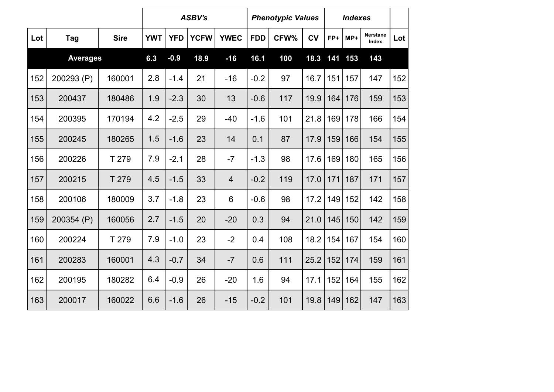|     |                 |             |            |            | <b>ASBV's</b> |                |            | <b>Phenotypic Values</b> |           |     | <b>Indexes</b> |                                 |     |
|-----|-----------------|-------------|------------|------------|---------------|----------------|------------|--------------------------|-----------|-----|----------------|---------------------------------|-----|
| Lot | Tag             | <b>Sire</b> | <b>YWT</b> | <b>YFD</b> | <b>YCFW</b>   | <b>YWEC</b>    | <b>FDD</b> | CFW%                     | <b>CV</b> | FP+ | MP+            | <b>Nerstane</b><br><b>Index</b> | Lot |
|     | <b>Averages</b> |             | 6.3        | $-0.9$     | 18.9          | $-16$          | 16.1       | 100                      | 18.3      | 141 | 153            | 143                             |     |
| 152 | 200293 (P)      | 160001      | 2.8        | $-1.4$     | 21            | $-16$          | $-0.2$     | 97                       | 16.7      | 151 | 157            | 147                             | 152 |
| 153 | 200437          | 180486      | 1.9        | $-2.3$     | 30            | 13             | $-0.6$     | 117                      | 19.9      | 164 | 176            | 159                             | 153 |
| 154 | 200395          | 170194      | 4.2        | $-2.5$     | 29            | $-40$          | $-1.6$     | 101                      | 21.8      | 169 | 178            | 166                             | 154 |
| 155 | 200245          | 180265      | 1.5        | $-1.6$     | 23            | 14             | 0.1        | 87                       | 17.9      | 159 | 166            | 154                             | 155 |
| 156 | 200226          | T 279       | 7.9        | $-2.1$     | 28            | $-7$           | $-1.3$     | 98                       | 17.6      | 169 | 180            | 165                             | 156 |
| 157 | 200215          | T 279       | 4.5        | $-1.5$     | 33            | $\overline{4}$ | $-0.2$     | 119                      | 17.0      | 171 | 187            | 171                             | 157 |
| 158 | 200106          | 180009      | 3.7        | $-1.8$     | 23            | 6              | $-0.6$     | 98                       | 17.2      | 149 | 152            | 142                             | 158 |
| 159 | 200354 (P)      | 160056      | 2.7        | $-1.5$     | 20            | $-20$          | 0.3        | 94                       | 21.0      | 145 | 150            | 142                             | 159 |
| 160 | 200224          | T 279       | 7.9        | $-1.0$     | 23            | $-2$           | 0.4        | 108                      | 18.2      | 154 | 167            | 154                             | 160 |
| 161 | 200283          | 160001      | 4.3        | $-0.7$     | 34            | $-7$           | 0.6        | 111                      | 25.2      | 152 | 174            | 159                             | 161 |
| 162 | 200195          | 180282      | 6.4        | $-0.9$     | 26            | $-20$          | 1.6        | 94                       | 17.1      | 152 | 164            | 155                             | 162 |
| 163 | 200017          | 160022      | 6.6        | $-1.6$     | 26            | $-15$          | $-0.2$     | 101                      | 19.8      | 149 | 162            | 147                             | 163 |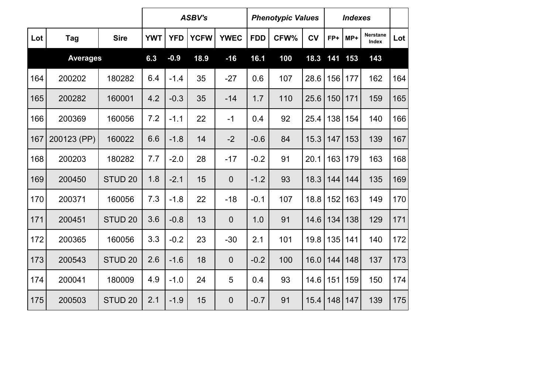|                 |             |                    | <b>ASBV's</b> |            |             | <b>Phenotypic Values</b> |            |      | <b>Indexes</b> |     |       |                          |     |
|-----------------|-------------|--------------------|---------------|------------|-------------|--------------------------|------------|------|----------------|-----|-------|--------------------------|-----|
| Lot             | Tag         | <b>Sire</b>        | <b>YWT</b>    | <b>YFD</b> | <b>YCFW</b> | <b>YWEC</b>              | <b>FDD</b> | CFW% | <b>CV</b>      | FP+ | $MP+$ | <b>Nerstane</b><br>Index | Lot |
| <b>Averages</b> |             | 6.3                | $-0.9$        | 18.9       | $-16$       | 16.1                     | 100        | 18.3 | 141            | 153 | 143   |                          |     |
| 164             | 200202      | 180282             | 6.4           | $-1.4$     | 35          | $-27$                    | 0.6        | 107  | 28.6           | 156 | 177   | 162                      | 164 |
| 165             | 200282      | 160001             | 4.2           | $-0.3$     | 35          | $-14$                    | 1.7        | 110  | 25.6           | 150 | 171   | 159                      | 165 |
| 166             | 200369      | 160056             | 7.2           | $-1.1$     | 22          | $-1$                     | 0.4        | 92   | 25.4           | 138 | 154   | 140                      | 166 |
| 167             | 200123 (PP) | 160022             | 6.6           | $-1.8$     | 14          | $-2$                     | $-0.6$     | 84   | 15.3           | 147 | 153   | 139                      | 167 |
| 168             | 200203      | 180282             | 7.7           | $-2.0$     | 28          | $-17$                    | $-0.2$     | 91   | 20.1           | 163 | 179   | 163                      | 168 |
| 169             | 200450      | STUD <sub>20</sub> | 1.8           | $-2.1$     | 15          | $\mathbf 0$              | $-1.2$     | 93   | 18.3           | 144 | 144   | 135                      | 169 |
| 170             | 200371      | 160056             | 7.3           | $-1.8$     | 22          | $-18$                    | $-0.1$     | 107  | 18.8           | 152 | 163   | 149                      | 170 |
| 171             | 200451      | STUD <sub>20</sub> | 3.6           | $-0.8$     | 13          | $\mathbf 0$              | 1.0        | 91   | 14.6           | 134 | 138   | 129                      | 171 |
| 172             | 200365      | 160056             | 3.3           | $-0.2$     | 23          | $-30$                    | 2.1        | 101  | 19.8           | 135 | 141   | 140                      | 172 |
| 173             | 200543      | STUD <sub>20</sub> | 2.6           | $-1.6$     | 18          | $\overline{0}$           | $-0.2$     | 100  | 16.0           | 144 | 148   | 137                      | 173 |
| 174             | 200041      | 180009             | 4.9           | $-1.0$     | 24          | 5                        | 0.4        | 93   | 14.6           | 151 | 159   | 150                      | 174 |
| 175             | 200503      | STUD <sub>20</sub> | 2.1           | $-1.9$     | 15          | $\mathbf 0$              | $-0.7$     | 91   | 15.4           | 148 | 147   | 139                      | 175 |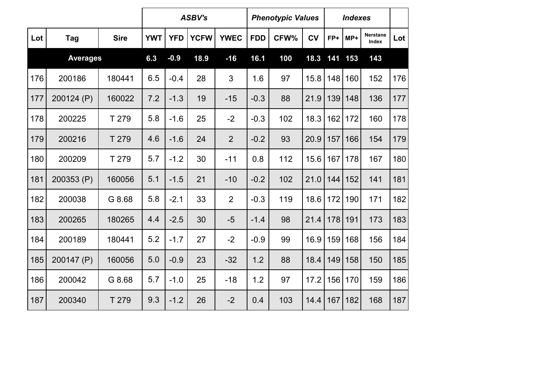|                 |            |             | <b>ASBV's</b> |            |             | <b>Phenotypic Values</b> |            |      | <b>Indexes</b> |     |     |                          |     |
|-----------------|------------|-------------|---------------|------------|-------------|--------------------------|------------|------|----------------|-----|-----|--------------------------|-----|
| Lot             | Tag        | <b>Sire</b> | <b>YWT</b>    | <b>YFD</b> | <b>YCFW</b> | <b>YWEC</b>              | <b>FDD</b> | CFW% | <b>CV</b>      | FP+ | MP+ | <b>Nerstane</b><br>Index | Lot |
| <b>Averages</b> |            |             | 6.3           | $-0.9$     | 18.9        | $-16$                    | 16.1       | 100  | 18.3           | 141 | 153 | 143                      |     |
| 176             | 200186     | 180441      | 6.5           | $-0.4$     | 28          | 3                        | 1.6        | 97   | 15.8           | 148 | 160 | 152                      | 176 |
| 177             | 200124 (P) | 160022      | 7.2           | $-1.3$     | 19          | $-15$                    | $-0.3$     | 88   | 21.9           | 139 | 148 | 136                      | 177 |
| 178             | 200225     | T 279       | 5.8           | $-1.6$     | 25          | $-2$                     | $-0.3$     | 102  | 18.3           | 162 | 172 | 160                      | 178 |
| 179             | 200216     | T 279       | 4.6           | $-1.6$     | 24          | $\overline{2}$           | $-0.2$     | 93   | 20.9           | 157 | 166 | 154                      | 179 |
| 180             | 200209     | T 279       | 5.7           | $-1.2$     | 30          | $-11$                    | 0.8        | 112  | 15.6           | 167 | 178 | 167                      | 180 |
| 181             | 200353 (P) | 160056      | 5.1           | $-1.5$     | 21          | $-10$                    | $-0.2$     | 102  | 21.0           | 144 | 152 | 141                      | 181 |
| 182             | 200038     | G 8.68      | 5.8           | $-2.1$     | 33          | $\overline{2}$           | $-0.3$     | 119  | 18.6           | 172 | 190 | 171                      | 182 |
| 183             | 200265     | 180265      | 4.4           | $-2.5$     | 30          | $-5$                     | $-1.4$     | 98   | 21.4           | 178 | 191 | 173                      | 183 |
| 184             | 200189     | 180441      | 5.2           | $-1.7$     | 27          | $-2$                     | $-0.9$     | 99   | 16.9           | 159 | 168 | 156                      | 184 |
| 185             | 200147 (P) | 160056      | 5.0           | $-0.9$     | 23          | $-32$                    | 1.2        | 88   | 18.4           | 149 | 158 | 150                      | 185 |
| 186             | 200042     | G 8.68      | 5.7           | $-1.0$     | 25          | $-18$                    | 1.2        | 97   | 17.2           | 156 | 170 | 159                      | 186 |
| 187             | 200340     | T 279       | 9.3           | $-1.2$     | 26          | $-2$                     | 0.4        | 103  | 14.4           | 167 | 182 | 168                      | 187 |